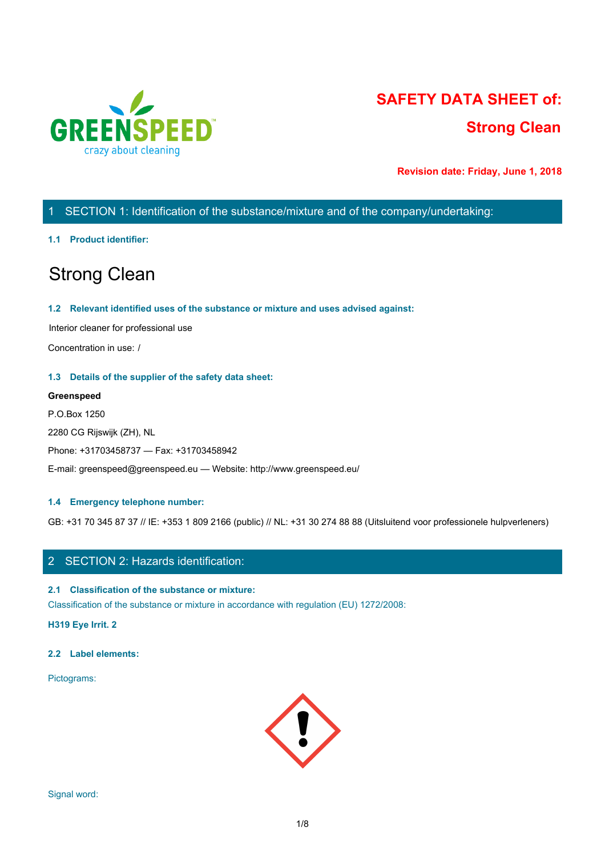

# **SAFETY DATA SHEET of: Strong Clean**

**Revision date: Friday, June 1, 2018**

# 1 SECTION 1: Identification of the substance/mixture and of the company/undertaking:

#### **1.1 Product identifier:**

# Strong Clean

#### **1.2 Relevant identified uses of the substance or mixture and uses advised against:**

Interior cleaner for professional use

Concentration in use: /

#### **1.3 Details of the supplier of the safety data sheet:**

#### **Greenspeed**

P.O.Box 1250 2280 CG Rijswijk (ZH), NL Phone: +31703458737 — Fax: +31703458942 E-mail: greenspeed@greenspeed.eu — Website: http://www.greenspeed.eu/

#### **1.4 Emergency telephone number:**

GB: +31 70 345 87 37 // IE: +353 1 809 2166 (public) // NL: +31 30 274 88 88 (Uitsluitend voor professionele hulpverleners)

# 2 SECTION 2: Hazards identification:

#### **2.1 Classification of the substance or mixture:**

Classification of the substance or mixture in accordance with regulation (EU) 1272/2008:

**H319 Eye Irrit. 2**

#### **2.2 Label elements:**

Pictograms:

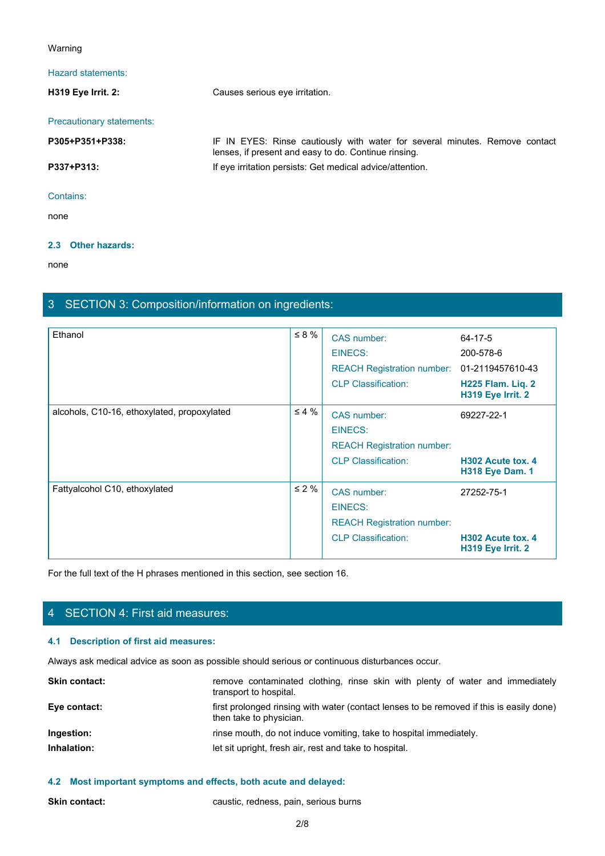#### Warning

## Hazard statements:

**H319 Eye Irrit. 2:** Causes serious eye irritation. Precautionary statements: **Paramdelarity Conservants:**<br> **P305 Fye Irrit. 2:**<br> **P305+P351+P338:**<br> **P305+P351+P338:**<br> **P337+P313:**<br> **P337+P313:**<br> **P337+P313:**<br> **P337+P313:**<br> **P337+P313:**<br> **P337+P313:**<br> **P337+P313:**<br> **P337+P313:**<br> **P311:**<br> **P311:**<br> **P** lenses, if present and easy to do. Continue rinsing. **P337+P313:** If eye irritation persists: Get medical advice/attention. Contains: none and the state of the state of the state of the state of the state of the state of the state of the state of the state of the state of the state of the state of the state of the state of the state of the state of the s

## **2.3 Other hazards:**

none and the state of the state of the state of the state of the state of the state of the state of the state of the state of the state of the state of the state of the state of the state of the state of the state of the s

# 3 SECTION 3: Composition/information on ingredients:

| Ethanol                                                                                        | $\leq 8 \%$                                                        | CAS number:                                                                              | 64-17-5                                     |
|------------------------------------------------------------------------------------------------|--------------------------------------------------------------------|------------------------------------------------------------------------------------------|---------------------------------------------|
|                                                                                                |                                                                    | <b>EINECS:</b>                                                                           | 200-578-6                                   |
|                                                                                                |                                                                    | REACH Registration number: 01-2119457610-43                                              |                                             |
|                                                                                                |                                                                    | <b>CLP Classification:</b>                                                               | H225 Flam. Liq. 2<br>H319 Eye Irrit. 2      |
| alcohols, C10-16, ethoxylated, propoxylated                                                    | $\leq 4\%$                                                         | CAS number:<br><b>EINECS:</b>                                                            | 69227-22-1                                  |
|                                                                                                |                                                                    | <b>REACH Registration number:</b>                                                        |                                             |
|                                                                                                |                                                                    | <b>CLP Classification:</b>                                                               | H302 Acute tox. 4<br><b>H318 Eye Dam. 1</b> |
| Fattyalcohol C10, ethoxylated                                                                  | $\leq 2 \%$                                                        | CAS number:                                                                              | 27252-75-1                                  |
|                                                                                                |                                                                    | <b>EINECS:</b>                                                                           |                                             |
|                                                                                                |                                                                    | <b>REACH Registration number:</b>                                                        |                                             |
|                                                                                                |                                                                    | <b>CLP Classification:</b>                                                               | H302 Acute tox. 4<br>H319 Eye Irrit. 2      |
| For the full text of the H phrases mentioned in this section, see section 16.                  |                                                                    |                                                                                          |                                             |
|                                                                                                |                                                                    |                                                                                          |                                             |
|                                                                                                |                                                                    |                                                                                          |                                             |
| 4 SECTION 4: First aid measures:                                                               |                                                                    |                                                                                          |                                             |
| 4.1 Description of first aid measures:                                                         |                                                                    |                                                                                          |                                             |
| Always ask medical advice as soon as possible should serious or continuous disturbances occur. |                                                                    |                                                                                          |                                             |
| <b>Skin contact:</b>                                                                           | transport to hospital.                                             | remove contaminated clothing, rinse skin with plenty of water and immediately            |                                             |
| Eye contact:                                                                                   | then take to physician.                                            | first prolonged rinsing with water (contact lenses to be removed if this is easily done) |                                             |
| Ingestion:                                                                                     | rinse mouth, do not induce vomiting, take to hospital immediately. |                                                                                          |                                             |
| Inhalation:                                                                                    | let sit upright, fresh air, rest and take to hospital.             |                                                                                          |                                             |
|                                                                                                |                                                                    |                                                                                          |                                             |

# 4 SECTION 4: First aid measures:

# **4.1 Description of first aid measures:**

| <b>Skin contact:</b> | remove contaminated clothing, rinse skin with plenty of water and immediately<br>transport to hospital.             |
|----------------------|---------------------------------------------------------------------------------------------------------------------|
| Eye contact:         | first prolonged rinsing with water (contact lenses to be removed if this is easily done)<br>then take to physician. |
| Ingestion:           | rinse mouth, do not induce vomiting, take to hospital immediately.                                                  |
| Inhalation:          | let sit upright, fresh air, rest and take to hospital.                                                              |
|                      |                                                                                                                     |

# **4.2 Most important symptoms and effects, both acute and delayed:**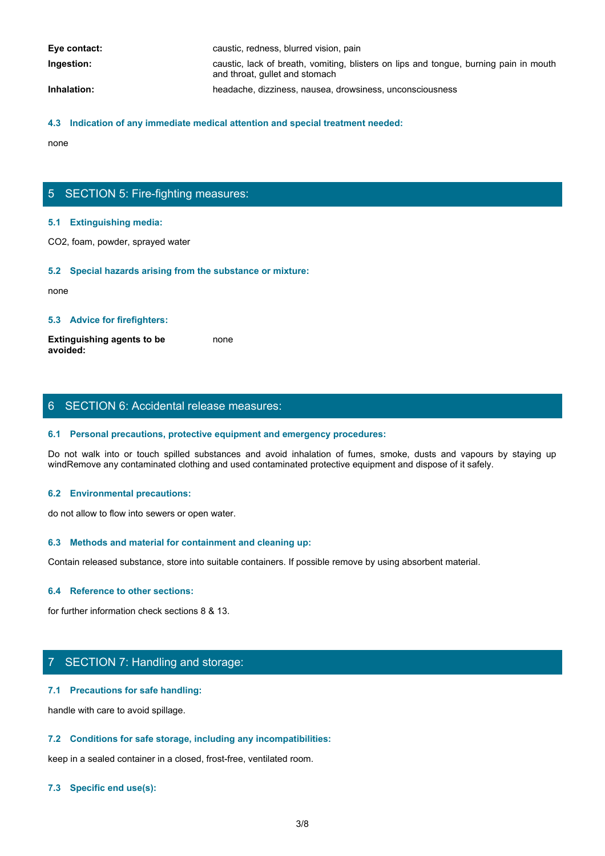| Eye contact: | caustic, redness, blurred vision, pain                                                                                  |
|--------------|-------------------------------------------------------------------------------------------------------------------------|
| Ingestion:   | caustic, lack of breath, vomiting, blisters on lips and tongue, burning pain in mouth<br>and throat, gullet and stomach |
| Inhalation:  | headache, dizziness, nausea, drowsiness, unconsciousness                                                                |

#### **4.3 Indication of any immediate medical attention and special treatment needed:**

none and the state of the state of the state of the state of the state of the state of the state of the state of the state of the state of the state of the state of the state of the state of the state of the state of the s

# 5 SECTION 5: Fire-fighting measures:

#### **5.1 Extinguishing media:**

CO2, foam, powder, sprayed water

#### **5.2 Special hazards arising from the substance or mixture:**

none and the state of the state of the state of the state of the state of the state of the state of the state of the state of the state of the state of the state of the state of the state of the state of the state of the s

#### **5.3 Advice for firefighters:**

**Extinguishing agents to be avoided:** none and the state of the state of the state of the state of the state of the state of the state of the state of the state of the state of the state of the state of the state of the state of the state of the state of the s

# 6 SECTION 6: Accidental release measures:

#### **6.1 Personal precautions, protective equipment and emergency procedures:**

Donce<br>
S. S. Extinguishing media:<br>
CO2, foam, powder, sprayed water<br>
S. S. Special hazards arising from the substance or mixture:<br>
Extinguishing agents to be<br>
worlded:<br>
S. Advice for firefighters:<br>
S. Personal precautions, windRemove any contaminated clothing and used contaminated protective equipment and dispose of it safely.

#### **6.2 Environmental precautions:**

do not allow to flow into sewers or open water.

#### **6.3 Methods and material for containment and cleaning up:**

Contain released substance, store into suitable containers. If possible remove by using absorbent material.

#### **6.4 Reference to other sections:**

for further information check sections 8 & 13.

# 7 SECTION 7: Handling and storage:

#### **7.1 Precautions for safe handling:**

handle with care to avoid spillage.

#### **7.2 Conditions for safe storage, including any incompatibilities:**

keep in a sealed container in a closed, frost-free, ventilated room.

#### **7.3 Specific end use(s):**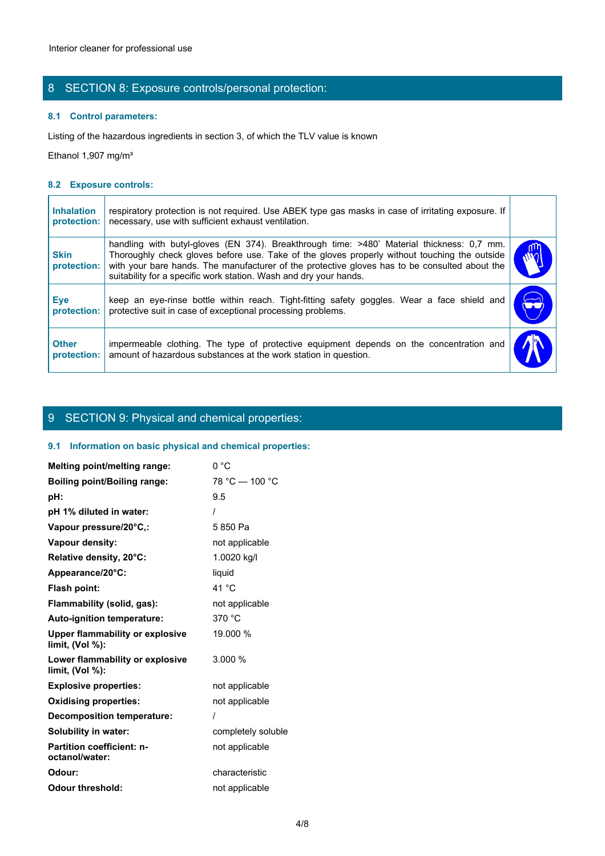# 8 SECTION 8: Exposure controls/personal protection:

## **8.1 Control parameters:**

#### **8.2 Exposure controls:**

|                                  | Interior cleaner for professional use                                                                                                                                                                                                                                                                                                                           |            |
|----------------------------------|-----------------------------------------------------------------------------------------------------------------------------------------------------------------------------------------------------------------------------------------------------------------------------------------------------------------------------------------------------------------|------------|
|                                  | 8 SECTION 8: Exposure controls/personal protection:                                                                                                                                                                                                                                                                                                             |            |
|                                  | 8.1 Control parameters:                                                                                                                                                                                                                                                                                                                                         |            |
|                                  | Listing of the hazardous ingredients in section 3, of which the TLV value is known                                                                                                                                                                                                                                                                              |            |
| Ethanol 1,907 mg/m <sup>3</sup>  |                                                                                                                                                                                                                                                                                                                                                                 |            |
| 8.2 Exposure controls:           |                                                                                                                                                                                                                                                                                                                                                                 |            |
| <b>Inhalation</b><br>protection: | respiratory protection is not required. Use ABEK type gas masks in case of irritating exposure. If<br>necessary, use with sufficient exhaust ventilation.                                                                                                                                                                                                       |            |
| <b>Skin</b><br>protection:       | handling with butyl-gloves (EN 374). Breakthrough time: >480' Material thickness: 0,7 mm.<br>Thoroughly check gloves before use. Take of the gloves properly without touching the outside<br>with your bare hands. The manufacturer of the protective gloves has to be consulted about the<br>suitability for a specific work station. Wash and dry your hands. |            |
| Eye<br>protection:               | keep an eye-rinse bottle within reach. Tight-fitting safety goggles. Wear a face shield and<br>protective suit in case of exceptional processing problems.                                                                                                                                                                                                      | $\bigodot$ |
| <b>Other</b><br>protection:      | impermeable clothing. The type of protective equipment depends on the concentration and<br>amount of hazardous substances at the work station in question.                                                                                                                                                                                                      |            |

# 9 SECTION 9: Physical and chemical properties:

## **9.1 Information on basic physical and chemical properties:**

| Melting point/melting range:                          | 0 °C               |
|-------------------------------------------------------|--------------------|
| <b>Boiling point/Boiling range:</b>                   | 78 °C - 100 °C     |
| pH:                                                   | 9.5                |
| pH 1% diluted in water:                               |                    |
| Vapour pressure/20°C,:                                | 5850 Pa            |
| Vapour density:                                       | not applicable     |
| Relative density, 20°C:                               | 1.0020 kg/l        |
| Appearance/20°C:                                      | liquid             |
| Flash point:                                          | 41 °C              |
| Flammability (solid, gas):                            | not applicable     |
| Auto-ignition temperature:                            | 370 °C             |
| Upper flammability or explosive<br>limit, (Vol %):    | 19.000 %           |
| Lower flammability or explosive<br>limit, $(Vol %)$ : | 3.000%             |
| <b>Explosive properties:</b>                          | not applicable     |
| <b>Oxidising properties:</b>                          | not applicable     |
| <b>Decomposition temperature:</b>                     |                    |
| Solubility in water:                                  | completely soluble |
| <b>Partition coefficient: n-</b><br>octanol/water:    | not applicable     |
| Odour:                                                | characteristic     |
| <b>Odour threshold:</b>                               | not applicable     |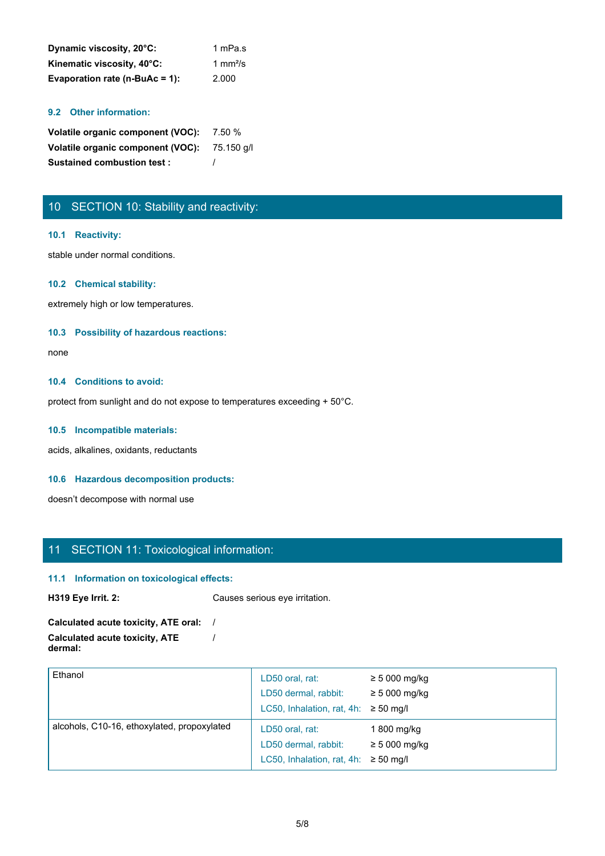| Dynamic viscosity, 20°C:       | 1 mPa.s |
|--------------------------------|---------|
| Kinematic viscosity, 40°C:     | 1 mm²/s |
| Evaporation rate (n-BuAc = 1): | 2.000   |

## **9.2 Other information:**

| Volatile organic component (VOC): 7.50 %     |  |
|----------------------------------------------|--|
| Volatile organic component (VOC): 75.150 g/l |  |
| <b>Sustained combustion test:</b>            |  |

# 10 SECTION 10: Stability and reactivity:

#### **10.1 Reactivity:**

stable under normal conditions.

#### **10.2 Chemical stability:**

extremely high or low temperatures.

#### **10.3 Possibility of hazardous reactions:**

none and the state of the state of the state of the state of the state of the state of the state of the state of the state of the state of the state of the state of the state of the state of the state of the state of the s

#### **10.4 Conditions to avoid:**

protect from sunlight and do not expose to temperatures exceeding + 50°C.

#### **10.5 Incompatible materials:**

acids, alkalines, oxidants, reductants

#### **10.6 Hazardous decomposition products:**

doesn't decompose with normal use

# 11 SECTION 11: Toxicological information:

#### **11.1 Information on toxicological effects:**

**H319 Eye Irrit. 2:** Causes serious eye irritation.

#### **Calculated acute toxicity, ATE oral:** / **Calculated acute toxicity, ATE dermal:** /

| Ethanol                                     | LD50 oral, rat:<br>LD50 dermal, rabbit:<br>LC50, Inhalation, rat, 4h: $\geq$ 50 mg/l | $\geq 5000$ mg/kg<br>$\geq 5000$ mg/kg |  |
|---------------------------------------------|--------------------------------------------------------------------------------------|----------------------------------------|--|
| alcohols, C10-16, ethoxylated, propoxylated | LD50 oral, rat:<br>LD50 dermal, rabbit:<br>LC50, Inhalation, rat, 4h: $\geq$ 50 mg/l | 1 800 mg/kg<br>$\geq$ 5 000 mg/kg      |  |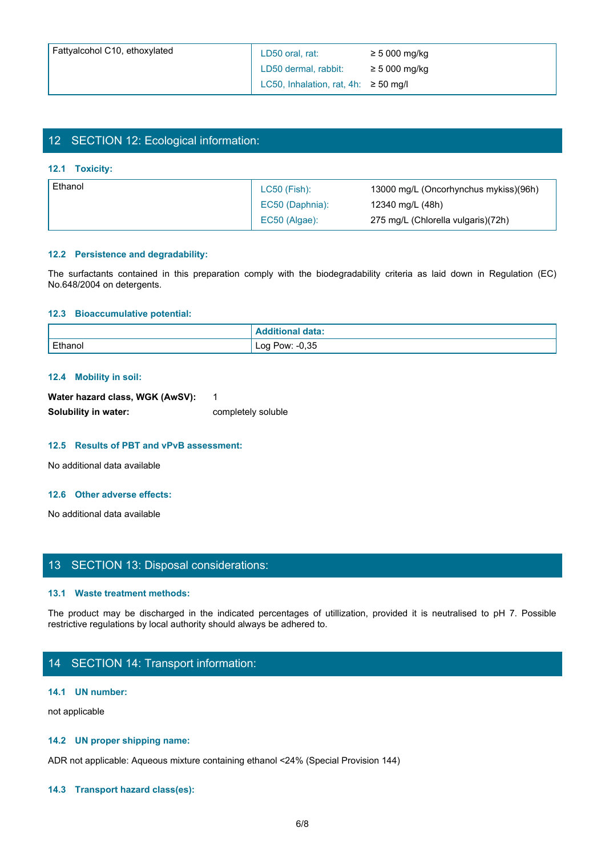| Fattyalcohol C10, ethoxylated          | LD50 oral, rat:                           | $\geq 5000$ mg/kg                                                                                                       |
|----------------------------------------|-------------------------------------------|-------------------------------------------------------------------------------------------------------------------------|
|                                        | LD50 dermal, rabbit:                      | $\geq$ 5 000 mg/kg                                                                                                      |
|                                        | LC50, Inhalation, rat, 4h: $\geq$ 50 mg/l |                                                                                                                         |
|                                        |                                           |                                                                                                                         |
|                                        |                                           |                                                                                                                         |
| 12 SECTION 12: Ecological information: |                                           |                                                                                                                         |
|                                        |                                           |                                                                                                                         |
| 12.1 Toxicity:                         |                                           |                                                                                                                         |
| Ethanol                                | LC50 (Fish):                              | 13000 mg/L (Oncorhynchus mykiss)(96h)                                                                                   |
|                                        | EC50 (Daphnia):                           | 12340 mg/L (48h)                                                                                                        |
|                                        | EC50 (Algae):                             | 275 mg/L (Chlorella vulgaris)(72h)                                                                                      |
|                                        |                                           |                                                                                                                         |
| 12.2 Persistence and degradability:    |                                           |                                                                                                                         |
|                                        |                                           | The surfactants contained in this preparation comply with the biodegradability criteria as laid down in Regulation (EC) |
| No.648/2004 on detergents.             |                                           |                                                                                                                         |
|                                        |                                           |                                                                                                                         |
| 12.3 Bioaccumulative potential:        |                                           |                                                                                                                         |
|                                        | <b>Additional data:</b>                   |                                                                                                                         |
| Ethanol                                | Log Pow: -0,35                            |                                                                                                                         |

# 12 SECTION 12: Ecological information:

#### **12.1 Toxicity:**

| l Ethanol | LC50 (Fish):    | 13000 mg/L (Oncorhynchus mykiss)(96h) |
|-----------|-----------------|---------------------------------------|
|           | EC50 (Daphnia): | 12340 mg/L (48h)                      |
|           | EC50 (Algae):   | 275 mg/L (Chlorella vulgaris)(72h)    |

#### **12.2 Persistence and degradability:**

#### **12.3 Bioaccumulative potential:**

| 12.3 Bioaccumulative potential:                                                                                                                                                                                                                                                                                                    |                         |                                                                                                                          |
|------------------------------------------------------------------------------------------------------------------------------------------------------------------------------------------------------------------------------------------------------------------------------------------------------------------------------------|-------------------------|--------------------------------------------------------------------------------------------------------------------------|
|                                                                                                                                                                                                                                                                                                                                    | <b>Additional data:</b> |                                                                                                                          |
| Ethanol                                                                                                                                                                                                                                                                                                                            | Log Pow: -0,35          |                                                                                                                          |
|                                                                                                                                                                                                                                                                                                                                    |                         |                                                                                                                          |
| 12.4 Mobility in soil:                                                                                                                                                                                                                                                                                                             |                         |                                                                                                                          |
| Water hazard class, WGK (AwSV):                                                                                                                                                                                                                                                                                                    | $\mathbf{1}$            |                                                                                                                          |
| Solubility in water:                                                                                                                                                                                                                                                                                                               | completely soluble      |                                                                                                                          |
|                                                                                                                                                                                                                                                                                                                                    |                         |                                                                                                                          |
| 12.5 Results of PBT and vPvB assessment:                                                                                                                                                                                                                                                                                           |                         |                                                                                                                          |
| No additional data available                                                                                                                                                                                                                                                                                                       |                         |                                                                                                                          |
|                                                                                                                                                                                                                                                                                                                                    |                         |                                                                                                                          |
| 12.6 Other adverse effects:                                                                                                                                                                                                                                                                                                        |                         |                                                                                                                          |
| No additional data available                                                                                                                                                                                                                                                                                                       |                         |                                                                                                                          |
|                                                                                                                                                                                                                                                                                                                                    |                         |                                                                                                                          |
|                                                                                                                                                                                                                                                                                                                                    |                         |                                                                                                                          |
| 13 SECTION 13: Disposal considerations:                                                                                                                                                                                                                                                                                            |                         |                                                                                                                          |
|                                                                                                                                                                                                                                                                                                                                    |                         |                                                                                                                          |
| 13.1 Waste treatment methods:                                                                                                                                                                                                                                                                                                      |                         |                                                                                                                          |
|                                                                                                                                                                                                                                                                                                                                    |                         | The product may be discharged in the indicated percentages of utillization, provided it is neutralised to pH 7. Possible |
| restrictive regulations by local authority should always be adhered to.                                                                                                                                                                                                                                                            |                         |                                                                                                                          |
|                                                                                                                                                                                                                                                                                                                                    |                         |                                                                                                                          |
| 14 SECTION 14: Transport information:                                                                                                                                                                                                                                                                                              |                         |                                                                                                                          |
|                                                                                                                                                                                                                                                                                                                                    |                         |                                                                                                                          |
| $\mathbf{A}$ $\mathbf{A}$ $\mathbf{A}$ $\mathbf{A}$ $\mathbf{A}$ $\mathbf{A}$ $\mathbf{A}$ $\mathbf{A}$ $\mathbf{A}$ $\mathbf{A}$ $\mathbf{A}$ $\mathbf{A}$ $\mathbf{A}$ $\mathbf{A}$ $\mathbf{A}$ $\mathbf{A}$ $\mathbf{A}$ $\mathbf{A}$ $\mathbf{A}$ $\mathbf{A}$ $\mathbf{A}$ $\mathbf{A}$ $\mathbf{A}$ $\mathbf{A}$ $\mathbf{$ |                         |                                                                                                                          |

#### **12.4 Mobility in soil:**

| Water hazard class, WGK (AwSV): |                    |
|---------------------------------|--------------------|
| Solubility in water:            | completely soluble |

#### **12.5 Results of PBT and vPvB assessment:**

#### **12.6 Other adverse effects:**

## 13 SECTION 13: Disposal considerations:

#### **13.1 Waste treatment methods:**

## 14 SECTION 14: Transport information:

#### **14.1 UN number:**

not applicable

#### **14.2 UN proper shipping name:**

ADR not applicable: Aqueous mixture containing ethanol <24% (Special Provision 144)

#### **14.3 Transport hazard class(es):**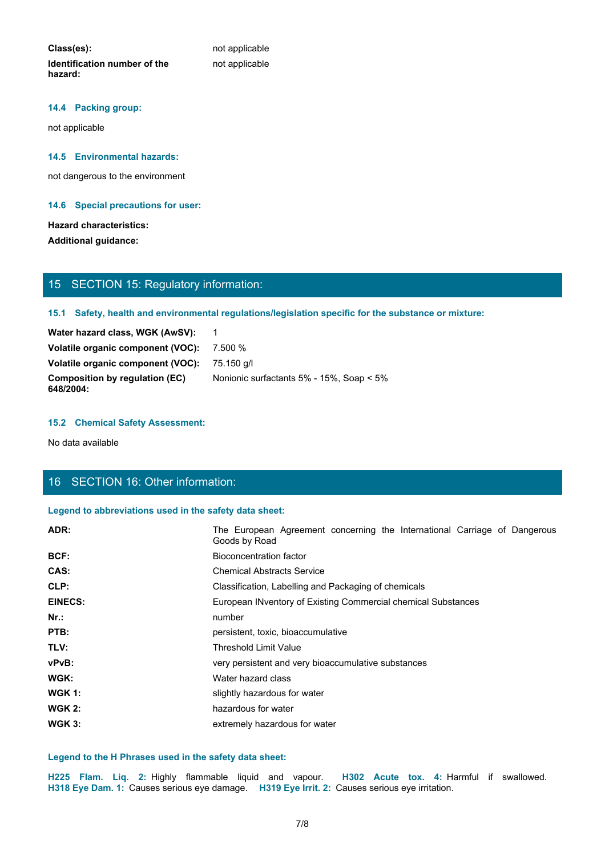**Class(es):** not applicable **Identification number of the hazard:**

not applicable

#### **14.4 Packing group:**

not applicable

#### **14.5 Environmental hazards:**

not dangerous to the environment

#### **14.6 Special precautions for user:**

## **Hazard characteristics:**

# 15 SECTION 15: Regulatory information:

## **15.1 Safety, health and environmental regulations/legislation specific for the substance or mixture:**

| Water hazard class, WGK (AwSV):                    |                                                       |
|----------------------------------------------------|-------------------------------------------------------|
| Volatile organic component (VOC):                  | 7.500 %                                               |
| Volatile organic component (VOC):                  | 75.150 a/l                                            |
| <b>Composition by regulation (EC)</b><br>648/2004: | Nonionic surfactants $5\%$ - $15\%$ , Soap $\leq 5\%$ |

#### **15.2 Chemical Safety Assessment:**

# 16 SECTION 16: Other information:

#### **Legend to abbreviations used in the safety data sheet:**

| <b>Hazard characteristics:</b><br><b>Additional guidance:</b> |                                                                                                                                           |  |
|---------------------------------------------------------------|-------------------------------------------------------------------------------------------------------------------------------------------|--|
| 15 SECTION 15: Regulatory information:                        |                                                                                                                                           |  |
|                                                               | 15.1 Safety, health and environmental regulations/legislation specific for the substance or mixture:                                      |  |
| Water hazard class, WGK (AwSV):                               | $\overline{1}$                                                                                                                            |  |
| Volatile organic component (VOC):                             | 7.500 %                                                                                                                                   |  |
| Volatile organic component (VOC):                             | 75.150 g/l                                                                                                                                |  |
| <b>Composition by regulation (EC)</b><br>648/2004:            | Nonionic surfactants 5% - 15%, Soap < 5%                                                                                                  |  |
| <b>15.2 Chemical Safety Assessment:</b>                       |                                                                                                                                           |  |
| No data available                                             |                                                                                                                                           |  |
|                                                               |                                                                                                                                           |  |
| 16 SECTION 16: Other information:                             |                                                                                                                                           |  |
| Legend to abbreviations used in the safety data sheet:        |                                                                                                                                           |  |
| ADR:                                                          | The European Agreement concerning the International Carriage of Dangerous<br>Goods by Road                                                |  |
| BCF:                                                          | <b>Bioconcentration factor</b>                                                                                                            |  |
| CAS:                                                          | <b>Chemical Abstracts Service</b>                                                                                                         |  |
| CLP:                                                          | Classification, Labelling and Packaging of chemicals                                                                                      |  |
| <b>EINECS:</b>                                                | European INventory of Existing Commercial chemical Substances                                                                             |  |
| Nr.:                                                          | number                                                                                                                                    |  |
| PTB:                                                          | persistent, toxic, bioaccumulative                                                                                                        |  |
| TLV:                                                          | <b>Threshold Limit Value</b>                                                                                                              |  |
| vPvB:                                                         | very persistent and very bioaccumulative substances                                                                                       |  |
| WGK:                                                          | Water hazard class                                                                                                                        |  |
| <b>WGK 1:</b>                                                 | slightly hazardous for water                                                                                                              |  |
| <b>WGK 2:</b>                                                 | hazardous for water                                                                                                                       |  |
| <b>WGK 3:</b>                                                 | extremely hazardous for water                                                                                                             |  |
|                                                               |                                                                                                                                           |  |
| Legend to the H Phrases used in the safety data sheet:        |                                                                                                                                           |  |
| H225 Flam. Liq. 2: Highly flammable liquid and vapour.        | H302 Acute tox. 4: Harmful if swallowed.<br>H318 Eye Dam. 1: Causes serious eye damage. H319 Eye Irrit. 2: Causes serious eye irritation. |  |
|                                                               | 7/8                                                                                                                                       |  |
|                                                               |                                                                                                                                           |  |

#### **Legend to the H Phrases used in the safety data sheet:**